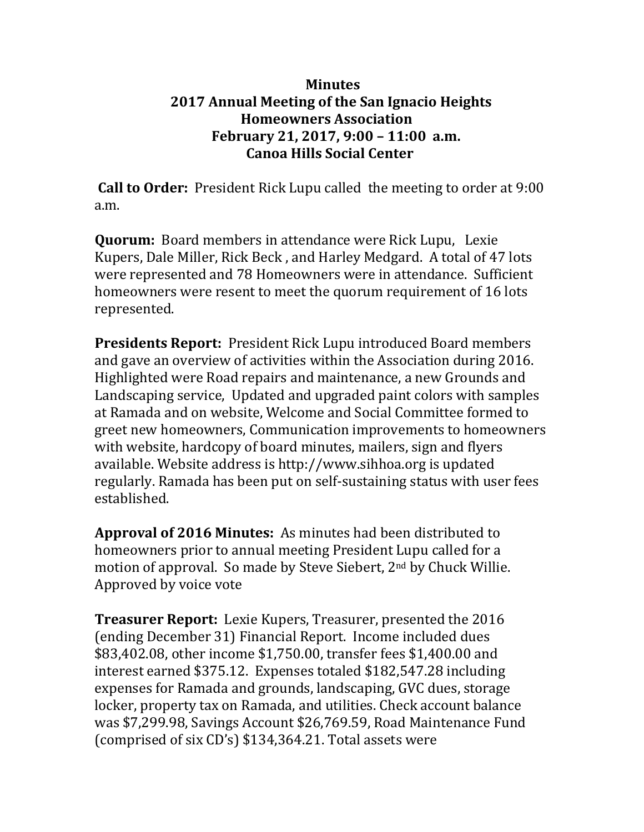## **Minutes 2017 Annual Meeting of the San Ignacio Heights Homeowners Association February 21, 2017, 9:00 – 11:00 a.m. Canoa Hills Social Center**

**Call to Order:** President Rick Lupu called the meeting to order at 9:00 a.m.

**Quorum:** Board members in attendance were Rick Lupu, Lexie Kupers, Dale Miller, Rick Beck , and Harley Medgard. A total of 47 lots were represented and 78 Homeowners were in attendance. Sufficient homeowners were resent to meet the quorum requirement of 16 lots represented.

**Presidents Report:** President Rick Lupu introduced Board members and gave an overview of activities within the Association during 2016. Highlighted were Road repairs and maintenance, a new Grounds and Landscaping service, Updated and upgraded paint colors with samples at Ramada and on website, Welcome and Social Committee formed to greet new homeowners, Communication improvements to homeowners with website, hardcopy of board minutes, mailers, sign and flyers available. Website address is http://www.sihhoa.or[g](mailto:SIHOA@board.com) is updated regularly. Ramada has been put on self-sustaining status with user fees established.

**Approval of 2016 Minutes:** As minutes had been distributed to homeowners prior to annual meeting President Lupu called for a motion of approval. So made by Steve Siebert, 2nd by Chuck Willie. Approved by voice vote

**Treasurer Report:** Lexie Kupers, Treasurer, presented the 2016 (ending December 31) Financial Report. Income included dues \$83,402.08, other income \$1,750.00, transfer fees \$1,400.00 and interest earned \$375.12. Expenses totaled \$182,547.28 including expenses for Ramada and grounds, landscaping, GVC dues, storage locker, property tax on Ramada, and utilities. Check account balance was \$7,299.98, Savings Account \$26,769.59, Road Maintenance Fund (comprised of six CD's) \$134,364.21. Total assets were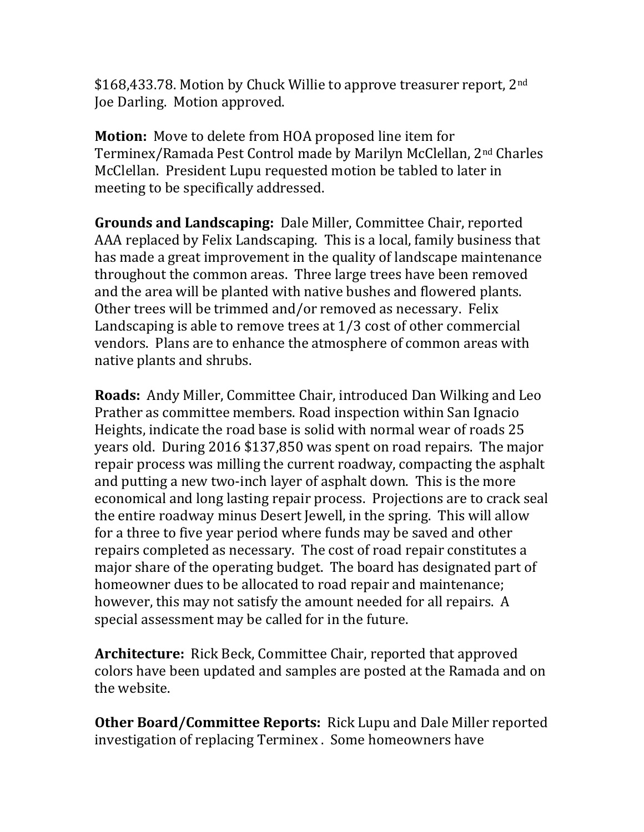\$168,433.78. Motion by Chuck Willie to approve treasurer report, 2<sup>nd</sup> Joe Darling. Motion approved.

**Motion:** Move to delete from HOA proposed line item for Terminex/Ramada Pest Control made by Marilyn McClellan, 2nd Charles McClellan. President Lupu requested motion be tabled to later in meeting to be specifically addressed.

**Grounds and Landscaping:** Dale Miller, Committee Chair, reported AAA replaced by Felix Landscaping. This is a local, family business that has made a great improvement in the quality of landscape maintenance throughout the common areas. Three large trees have been removed and the area will be planted with native bushes and flowered plants. Other trees will be trimmed and/or removed as necessary. Felix Landscaping is able to remove trees at 1/3 cost of other commercial vendors. Plans are to enhance the atmosphere of common areas with native plants and shrubs.

**Roads:** Andy Miller, Committee Chair, introduced Dan Wilking and Leo Prather as committee members. Road inspection within San Ignacio Heights, indicate the road base is solid with normal wear of roads 25 years old. During 2016 \$137,850 was spent on road repairs. The major repair process was milling the current roadway, compacting the asphalt and putting a new two-inch layer of asphalt down. This is the more economical and long lasting repair process. Projections are to crack seal the entire roadway minus Desert Jewell, in the spring. This will allow for a three to five year period where funds may be saved and other repairs completed as necessary. The cost of road repair constitutes a major share of the operating budget. The board has designated part of homeowner dues to be allocated to road repair and maintenance; however, this may not satisfy the amount needed for all repairs. A special assessment may be called for in the future.

**Architecture:** Rick Beck, Committee Chair, reported that approved colors have been updated and samples are posted at the Ramada and on the website.

**Other Board/Committee Reports:** Rick Lupu and Dale Miller reported investigation of replacing Terminex . Some homeowners have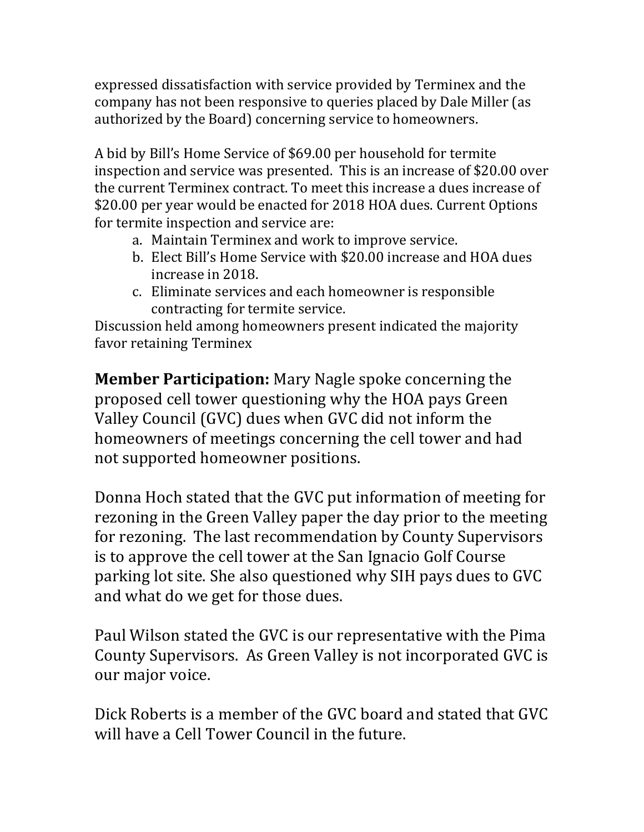expressed dissatisfaction with service provided by Terminex and the company has not been responsive to queries placed by Dale Miller (as authorized by the Board) concerning service to homeowners.

A bid by Bill's Home Service of \$69.00 per household for termite inspection and service was presented. This is an increase of \$20.00 over the current Terminex contract. To meet this increase a dues increase of \$20.00 per year would be enacted for 2018 HOA dues. Current Options for termite inspection and service are:

- a. Maintain Terminex and work to improve service.
- b. Elect Bill's Home Service with \$20.00 increase and HOA dues increase in 2018.
- c. Eliminate services and each homeowner is responsible contracting for termite service.

Discussion held among homeowners present indicated the majority favor retaining Terminex

**Member Participation:** Mary Nagle spoke concerning the proposed cell tower questioning why the HOA pays Green Valley Council (GVC) dues when GVC did not inform the homeowners of meetings concerning the cell tower and had not supported homeowner positions.

Donna Hoch stated that the GVC put information of meeting for rezoning in the Green Valley paper the day prior to the meeting for rezoning. The last recommendation by County Supervisors is to approve the cell tower at the San Ignacio Golf Course parking lot site. She also questioned why SIH pays dues to GVC and what do we get for those dues.

Paul Wilson stated the GVC is our representative with the Pima County Supervisors. As Green Valley is not incorporated GVC is our major voice.

Dick Roberts is a member of the GVC board and stated that GVC will have a Cell Tower Council in the future.